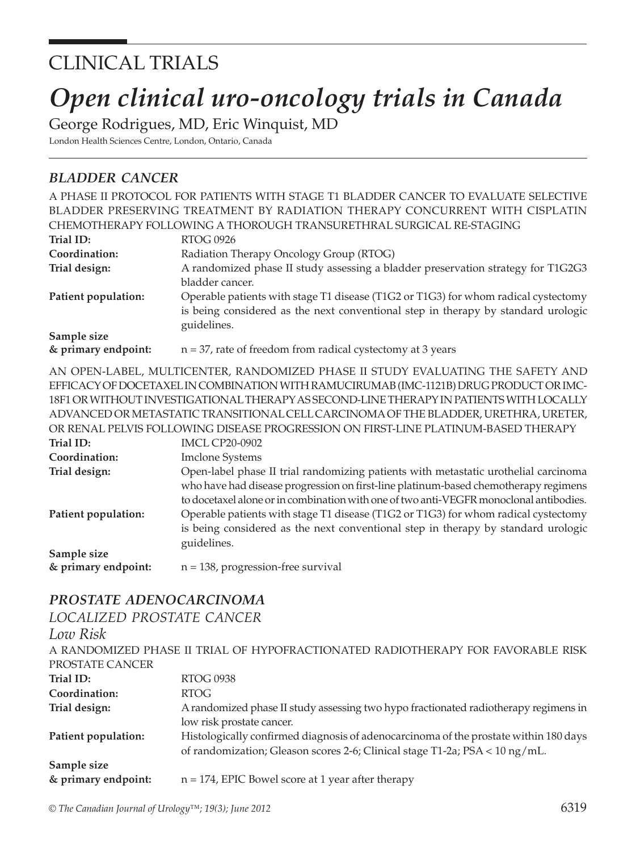# CLINICAL TRIALS

# *Open clinical uro-oncology trials in Canada*

George Rodrigues, MD, Eric Winquist, MD

London Health Sciences Centre, London, Ontario, Canada

## *bladder cancer*

|                                    | A PHASE II PROTOCOL FOR PATIENTS WITH STAGE T1 BLADDER CANCER TO EVALUATE SELECTIVE     |
|------------------------------------|-----------------------------------------------------------------------------------------|
|                                    | BLADDER PRESERVING TREATMENT BY RADIATION THERAPY CONCURRENT WITH CISPLATIN             |
|                                    | CHEMOTHERAPY FOLLOWING A THOROUGH TRANSURETHRAL SURGICAL RE-STAGING                     |
| Trial ID:                          | <b>RTOG 0926</b>                                                                        |
| Coordination:                      | Radiation Therapy Oncology Group (RTOG)                                                 |
| Trial design:                      | A randomized phase II study assessing a bladder preservation strategy for T1G2G3        |
|                                    | bladder cancer.                                                                         |
| Patient population:                | Operable patients with stage T1 disease (T1G2 or T1G3) for whom radical cystectomy      |
|                                    | is being considered as the next conventional step in therapy by standard urologic       |
| Sample size                        | guidelines.                                                                             |
| & primary endpoint:                | $n = 37$ , rate of freedom from radical cystectomy at 3 years                           |
|                                    |                                                                                         |
|                                    | AN OPEN-LABEL, MULTICENTER, RANDOMIZED PHASE II STUDY EVALUATING THE SAFETY AND         |
|                                    | EFFICACY OF DOCETAXEL IN COMBINATION WITH RAMUCIRUMAB (IMC-1121B) DRUG PRODUCT OR IMC-  |
|                                    | 18F1 OR WITHOUT INVESTIGATIONAL THERAPY AS SECOND-LINE THERAPY IN PATIENTS WITH LOCALLY |
|                                    | ADVANCED OR METASTATIC TRANSITIONAL CELL CARCINOMA OF THE BLADDER, URETHRA, URETER,     |
|                                    | OR RENAL PELVIS FOLLOWING DISEASE PROGRESSION ON FIRST-LINE PLATINUM-BASED THERAPY      |
| Trial ID:                          | <b>IMCL CP20-0902</b>                                                                   |
| Coordination:                      | <b>Imclone Systems</b>                                                                  |
| Trial design:                      | Open-label phase II trial randomizing patients with metastatic urothelial carcinoma     |
|                                    | who have had disease progression on first-line platinum-based chemotherapy regimens     |
|                                    | to docetaxel alone or in combination with one of two anti-VEGFR monoclonal antibodies.  |
| Patient population:                | Operable patients with stage T1 disease (T1G2 or T1G3) for whom radical cystectomy      |
|                                    | is being considered as the next conventional step in therapy by standard urologic       |
|                                    | guidelines.                                                                             |
| Sample size<br>& primary endpoint: | $n = 138$ , progression-free survival                                                   |
|                                    |                                                                                         |

### *prostate adenocarcinoma*

#### *localized prostate cancer*

| Low Risk            |                                                                                                                                                                     |
|---------------------|---------------------------------------------------------------------------------------------------------------------------------------------------------------------|
|                     | A RANDOMIZED PHASE II TRIAL OF HYPOFRACTIONATED RADIOTHERAPY FOR FAVORABLE RISK                                                                                     |
| PROSTATE CANCER     |                                                                                                                                                                     |
| Trial ID:           | <b>RTOG 0938</b>                                                                                                                                                    |
| Coordination:       | RTOG                                                                                                                                                                |
| Trial design:       | A randomized phase II study assessing two hypo fractionated radiotherapy regimens in<br>low risk prostate cancer.                                                   |
| Patient population: | Histologically confirmed diagnosis of adenocarcinoma of the prostate within 180 days<br>of randomization; Gleason scores 2-6; Clinical stage T1-2a; PSA < 10 ng/mL. |
| Sample size         |                                                                                                                                                                     |
| & primary endpoint: | $n = 174$ , EPIC Bowel score at 1 year after therapy                                                                                                                |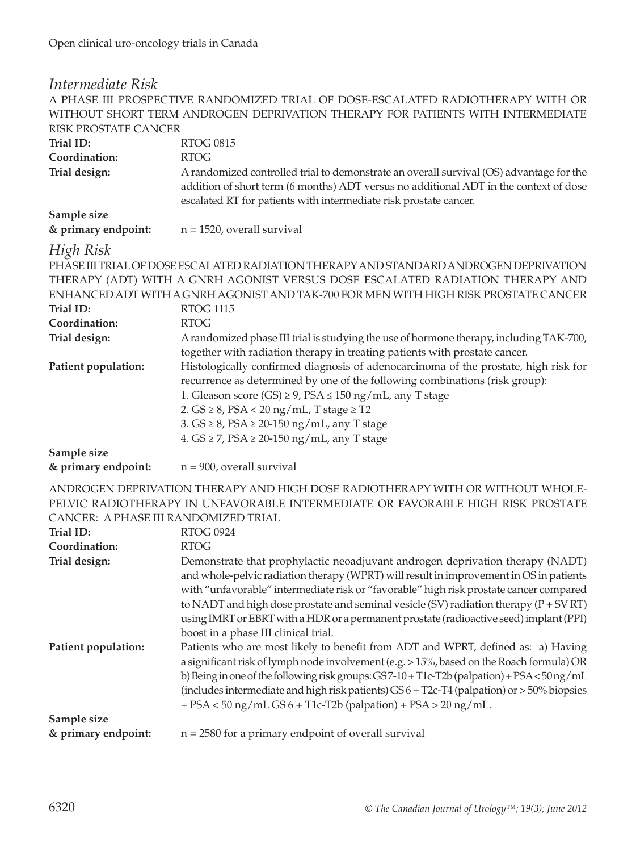| Intermediate Risk                    |                                                                                               |
|--------------------------------------|-----------------------------------------------------------------------------------------------|
|                                      | A PHASE III PROSPECTIVE RANDOMIZED TRIAL OF DOSE-ESCALATED RADIOTHERAPY WITH OR               |
|                                      | WITHOUT SHORT TERM ANDROGEN DEPRIVATION THERAPY FOR PATIENTS WITH INTERMEDIATE                |
| <b>RISK PROSTATE CANCER</b>          |                                                                                               |
| Trial ID:                            | <b>RTOG 0815</b>                                                                              |
| Coordination:                        | <b>RTOG</b>                                                                                   |
| Trial design:                        | A randomized controlled trial to demonstrate an overall survival (OS) advantage for the       |
|                                      | addition of short term (6 months) ADT versus no additional ADT in the context of dose         |
|                                      | escalated RT for patients with intermediate risk prostate cancer.                             |
| Sample size                          |                                                                                               |
| & primary endpoint:                  | $n = 1520$ , overall survival                                                                 |
| High Risk                            |                                                                                               |
|                                      | PHASE III TRIAL OF DOSE ESCALATED RADIATION THERAPY AND STANDARD ANDROGEN DEPRIVATION         |
|                                      | THERAPY (ADT) WITH A GNRH AGONIST VERSUS DOSE ESCALATED RADIATION THERAPY AND                 |
|                                      | ENHANCED ADT WITH A GNRH AGONIST AND TAK-700 FOR MEN WITH HIGH RISK PROSTATE CANCER           |
| Trial ID:                            | <b>RTOG 1115</b>                                                                              |
| Coordination:                        | <b>RTOG</b>                                                                                   |
| Trial design:                        | A randomized phase III trial is studying the use of hormone therapy, including TAK-700,       |
|                                      | together with radiation therapy in treating patients with prostate cancer.                    |
| Patient population:                  | Histologically confirmed diagnosis of adenocarcinoma of the prostate, high risk for           |
|                                      | recurrence as determined by one of the following combinations (risk group):                   |
|                                      | 1. Gleason score (GS) $\geq$ 9, PSA $\leq$ 150 ng/mL, any T stage                             |
|                                      | 2. $GS \geq 8$ , $PSA < 20$ ng/mL, T stage $\geq$ T2                                          |
|                                      | 3. $GS \geq 8$ , $PSA \geq 20-150$ ng/mL, any T stage                                         |
|                                      | 4. $GS \ge 7$ , $PSA \ge 20-150$ ng/mL, any T stage                                           |
| Sample size                          |                                                                                               |
| & primary endpoint:                  | $n = 900$ , overall survival                                                                  |
|                                      | ANDROGEN DEPRIVATION THERAPY AND HIGH DOSE RADIOTHERAPY WITH OR WITHOUT WHOLE-                |
|                                      | PELVIC RADIOTHERAPY IN UNFAVORABLE INTERMEDIATE OR FAVORABLE HIGH RISK PROSTATE               |
| CANCER: A PHASE III RANDOMIZED TRIAL |                                                                                               |
| Trial ID:                            | <b>RTOG 0924</b>                                                                              |
| Coordination:                        | <b>RTOG</b>                                                                                   |
| Trial design:                        | Demonstrate that prophylactic neoadjuvant androgen deprivation therapy (NADT)                 |
|                                      | and whole-pelvic radiation therapy (WPRT) will result in improvement in OS in patients        |
|                                      | with "unfavorable" intermediate risk or "favorable" high risk prostate cancer compared        |
|                                      | to NADT and high dose prostate and seminal vesicle (SV) radiation therapy $(P + SV RT)$       |
|                                      | using IMRT or EBRT with a HDR or a permanent prostate (radioactive seed) implant (PPI)        |
|                                      | boost in a phase III clinical trial.                                                          |
| Patient population:                  | Patients who are most likely to benefit from ADT and WPRT, defined as: a) Having              |
|                                      | a significant risk of lymph node involvement (e.g. > 15%, based on the Roach formula) OR      |
|                                      | b) Being in one of the following risk groups: GS7-10 + T1c-T2b (palpation) + PSA < 50 ng/mL   |
|                                      | (includes intermediate and high risk patients) $GS6 + T2c-T4$ (palpation) or $>50\%$ biopsies |
|                                      | $+$ PSA < 50 ng/mL GS 6 + T1c-T2b (palpation) + PSA > 20 ng/mL.                               |
| Sample size                          |                                                                                               |
| & primary endpoint:                  | $n = 2580$ for a primary endpoint of overall survival                                         |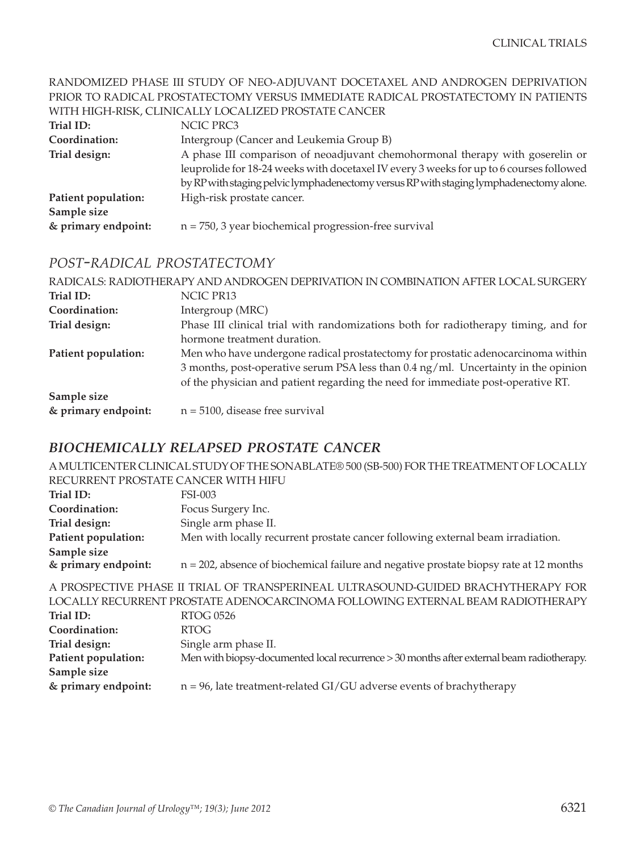#### RANDOMIZED PHASE III STUDY OF NEO-ADJUVANT DOCETAXEL AND ANDROGEN DEPRIVATION PRIOR TO RADICAL PROSTATECTOMY VERSUS IMMEDIATE RADICAL PROSTATECTOMY IN PATIENTS WITH HIGH-RISK, CLINICALLY LOCALIZED PROSTATE CANCER

| Trial ID:           | NCIC PRC3                                                                               |
|---------------------|-----------------------------------------------------------------------------------------|
| Coordination:       | Intergroup (Cancer and Leukemia Group B)                                                |
| Trial design:       | A phase III comparison of neoadjuvant chemohormonal therapy with goserelin or           |
|                     | leuprolide for 18-24 weeks with docetaxel IV every 3 weeks for up to 6 courses followed |
|                     | by RP with staging pelvic lymphadenectomy versus RP with staging lymphadenectomy alone. |
| Patient population: | High-risk prostate cancer.                                                              |
| Sample size         |                                                                                         |
| & primary endpoint: | $n = 750$ , 3 year biochemical progression-free survival                                |

#### *post-radical prostatectomy*

|                     | RADICALS: RADIOTHERAPY AND ANDROGEN DEPRIVATION IN COMBINATION AFTER LOCAL SURGERY |
|---------------------|------------------------------------------------------------------------------------|
| Trial ID:           | NCIC PR13                                                                          |
| Coordination:       | Intergroup (MRC)                                                                   |
| Trial design:       | Phase III clinical trial with randomizations both for radiotherapy timing, and for |
|                     | hormone treatment duration.                                                        |
| Patient population: | Men who have undergone radical prostatectomy for prostatic adenocarcinoma within   |
|                     | 3 months, post-operative serum PSA less than 0.4 ng/ml. Uncertainty in the opinion |
|                     | of the physician and patient regarding the need for immediate post-operative RT.   |
| Sample size         |                                                                                    |
| & primary endpoint: | $n = 5100$ , disease free survival                                                 |

### *biochemically relapsed prostate cancer*

A MULTICENTER CLINICAL STUDY OF THE SONABLATE® 500 (SB-500) FOR THE TREATMENT OF LOCALLY RECURRENT PROSTATE CANCER WITH HIFU

| Trial ID:           | FSI-003                                                                                   |
|---------------------|-------------------------------------------------------------------------------------------|
| Coordination:       | Focus Surgery Inc.                                                                        |
| Trial design:       | Single arm phase II.                                                                      |
| Patient population: | Men with locally recurrent prostate cancer following external beam irradiation.           |
| Sample size         |                                                                                           |
| & primary endpoint: | $n = 202$ , absence of biochemical failure and negative prostate biopsy rate at 12 months |
|                     |                                                                                           |

A PROSPECTIVE PHASE II TRIAL OF TRANSPERINEAL ULTRASOUND-GUIDED BRACHYTHERAPY FOR LOCALLY RECURRENT PROSTATE ADENOCARCINOMA FOLLOWING EXTERNAL BEAM RADIOTHERAPY **Trial ID:** RTOG 0526 **Coordination:** RTOG **Trial design:** Single arm phase II. **Patient population:** Men with biopsy-documented local recurrence > 30 months after external beam radiotherapy. **Sample size & primary endpoint:** n = 96, late treatment-related GI/GU adverse events of brachytherapy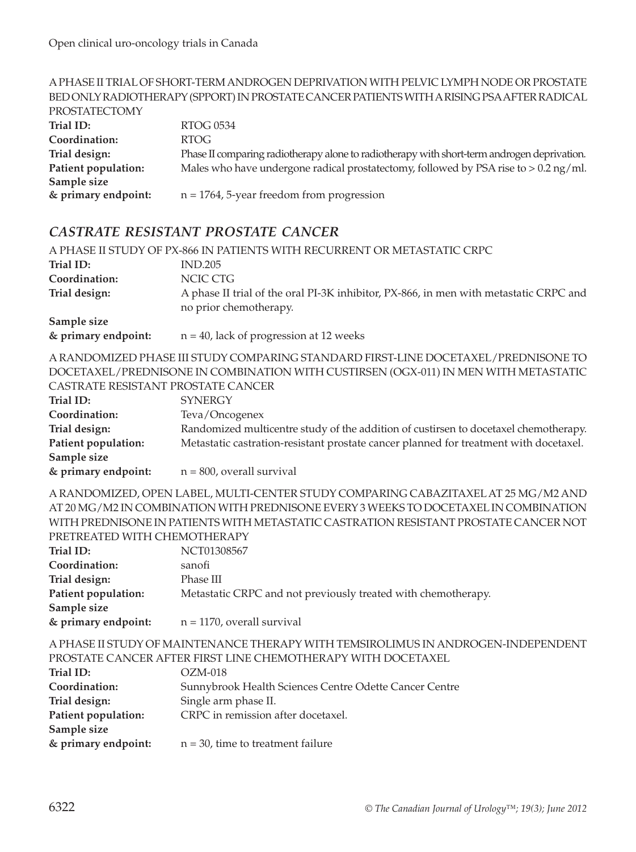#### A PHASE II TRIAL OF SHORT-TERM ANDROGEN DEPRIVATION WITH PELVIC LYMPH NODE OR PROSTATE BED ONLY RADIOTHERAPY (SPPORT) IN PROSTATE CANCER PATIENTS WITH A RISING PSA AFTER RADICAL PROSTATECTOMY **Trial ID:** RTOG 0534 **Coordination:** RTOG **Trial design:** Phase II comparing radiotherapy alone to radiotherapy with short-term androgen deprivation. **Patient population:** Males who have undergone radical prostatectomy, followed by PSA rise to > 0.2 ng/ml. **Sample size & primary endpoint:** n = 1764, 5-year freedom from progression

#### *castrate resistant prostate cancer*

|                                             | A PHASE II STUDY OF PX-866 IN PATIENTS WITH RECURRENT OR METASTATIC CRPC                                        |
|---------------------------------------------|-----------------------------------------------------------------------------------------------------------------|
| Trial ID:                                   | <b>IND.205</b>                                                                                                  |
| Coordination:                               | NCIC CTG                                                                                                        |
| Trial design:                               | A phase II trial of the oral PI-3K inhibitor, PX-866, in men with metastatic CRPC and<br>no prior chemotherapy. |
| Sample size<br>$\theta$ and an our on drink | $n = 40$ leak of programs at 12 years of                                                                        |

**& primary endpoint:** n = 40, lack of progression at 12 weeks

A RANDOMIZED PHASE III STUDY COMPARING STANDARD FIRST-LINE DOCETAXEL/PREDNISONE TO DOCETAXEL/PREDNISONE IN COMBINATION WITH CUSTIRSEN (OGX-011) IN MEN WITH METASTATIC CASTRATE RESISTANT PROSTATE CANCER

| CASI KATE KESISTAN I PROSTATE CANCER |                                                                                       |
|--------------------------------------|---------------------------------------------------------------------------------------|
| Trial ID:                            | <b>SYNERGY</b>                                                                        |
| Coordination:                        | Teva/Oncogenex                                                                        |
| Trial design:                        | Randomized multicentre study of the addition of custirsen to docetaxel chemotherapy.  |
| Patient population:                  | Metastatic castration-resistant prostate cancer planned for treatment with docetaxel. |
| Sample size                          |                                                                                       |
| & primary endpoint:                  | $n = 800$ , overall survival                                                          |

A RANDOMIZED, OPEN LABEL, MULTI-CENTER STUDY COMPARING CABAZITAXEL AT 25 MG/M2 AND AT 20 MG/M2 IN COMBINATION WITH PREDNISONE EVERY 3 WEEKS TO DOCETAXEL IN COMBINATION WITH PREDNISONE IN PATIENTS WITH METASTATIC CASTRATION RESISTANT PROSTATE CANCER NOT PRETREATED WITH CHEMOTHERAPY

| Trial ID:           | NCT01308567                                                   |
|---------------------|---------------------------------------------------------------|
| Coordination:       | sanofi                                                        |
| Trial design:       | Phase III                                                     |
| Patient population: | Metastatic CRPC and not previously treated with chemotherapy. |
| Sample size         |                                                               |
| & primary endpoint: | $n = 1170$ , overall survival                                 |

A PHASE II STUDY OF MAINTENANCE THERAPY WITH TEMSIROLIMUS IN ANDROGEN-INDEPENDENT PROSTATE CANCER AFTER FIRST LINE CHEMOTHERAPY WITH DOCETAXEL

| Trial ID:           | $OZM-018$                                              |
|---------------------|--------------------------------------------------------|
| Coordination:       | Sunnybrook Health Sciences Centre Odette Cancer Centre |
| Trial design:       | Single arm phase II.                                   |
| Patient population: | CRPC in remission after docetaxel.                     |
| Sample size         |                                                        |
| & primary endpoint: | $n = 30$ , time to treatment failure                   |